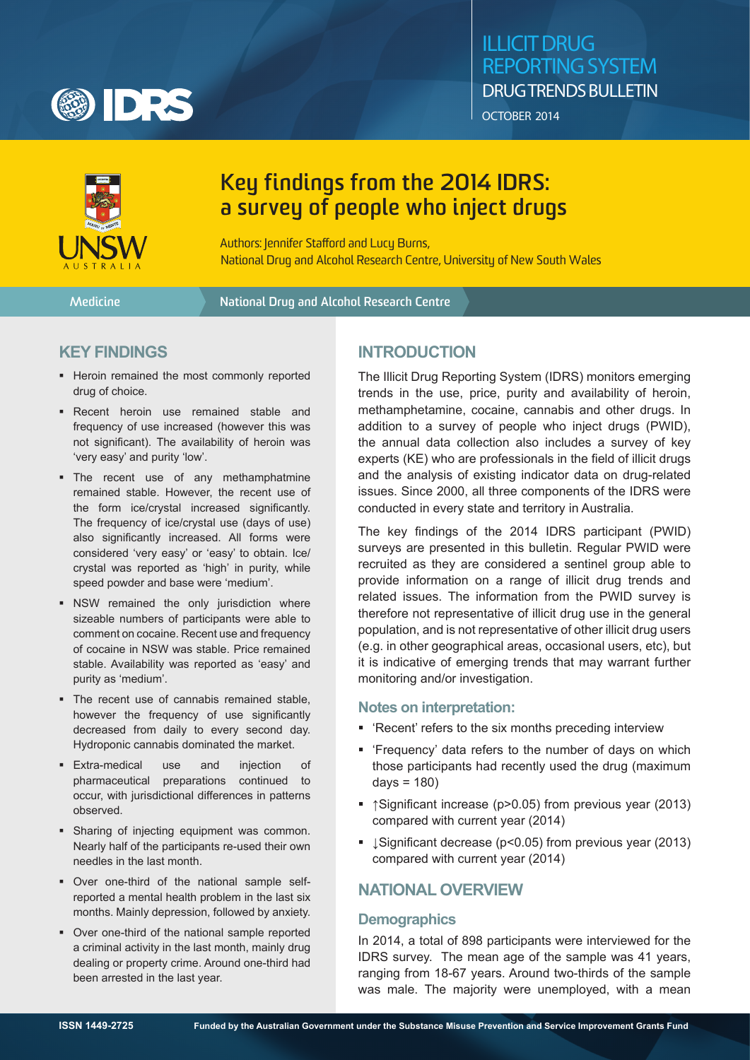

## illicit drug reporting system drug trends bulletin OCTOBER 2014



# **Key findings from the 2014 IDRS: a survey of people who inject drugs**

Authors: Jennifer Stafford and Lucy Burns, National Drug and Alcohol Research Centre, University of New South Wales

**Medicine National Drug and Alcohol Research Centre**

## **key findings**

- **-** Heroin remained the most commonly reported drug of choice.
- **Recent heroin use remained stable and** frequency of use increased (however this was not significant). The availability of heroin was 'very easy' and purity 'low'.
- The recent use of any methamphatmine remained stable. However, the recent use of the form ice/crystal increased significantly. The frequency of ice/crystal use (days of use) also significantly increased. All forms were considered 'very easy' or 'easy' to obtain. Ice/ crystal was reported as 'high' in purity, while speed powder and base were 'medium'.
- NSW remained the only jurisdiction where sizeable numbers of participants were able to comment on cocaine. Recent use and frequency of cocaine in NSW was stable. Price remained stable. Availability was reported as 'easy' and purity as 'medium'.
- The recent use of cannabis remained stable. however the frequency of use significantly decreased from daily to every second day. Hydroponic cannabis dominated the market.
- Extra-medical use and injection of pharmaceutical preparations continued to occur, with jurisdictional differences in patterns observed.
- Sharing of injecting equipment was common. Nearly half of the participants re-used their own needles in the last month.
- Over one-third of the national sample selfreported a mental health problem in the last six months. Mainly depression, followed by anxiety.
- Over one-third of the national sample reported a criminal activity in the last month, mainly drug dealing or property crime. Around one-third had been arrested in the last year.

## **Introduction**

The Illicit Drug Reporting System (IDRS) monitors emerging trends in the use, price, purity and availability of heroin, methamphetamine, cocaine, cannabis and other drugs. In addition to a survey of people who inject drugs (PWID), the annual data collection also includes a survey of key experts (KE) who are professionals in the field of illicit drugs and the analysis of existing indicator data on drug-related issues. Since 2000, all three components of the IDRS were conducted in every state and territory in Australia.

The key findings of the 2014 IDRS participant (PWID) surveys are presented in this bulletin. Regular PWID were recruited as they are considered a sentinel group able to provide information on a range of illicit drug trends and related issues. The information from the PWID survey is therefore not representative of illicit drug use in the general population, and is not representative of other illicit drug users (e.g. in other geographical areas, occasional users, etc), but it is indicative of emerging trends that may warrant further monitoring and/or investigation.

#### **Notes on interpretation:**

- 'Recent' refers to the six months preceding interview
- 'Frequency' data refers to the number of days on which those participants had recently used the drug (maximum  $days = 180$
- ↑Significant increase (p>0.05) from previous year (2013) compared with current year (2014)
- JSignificant decrease (p<0.05) from previous year (2013) compared with current year (2014)

## **National Overview**

## **Demographics**

In 2014, a total of 898 participants were interviewed for the IDRS survey. The mean age of the sample was 41 years, ranging from 18-67 years. Around two-thirds of the sample was male. The majority were unemployed, with a mean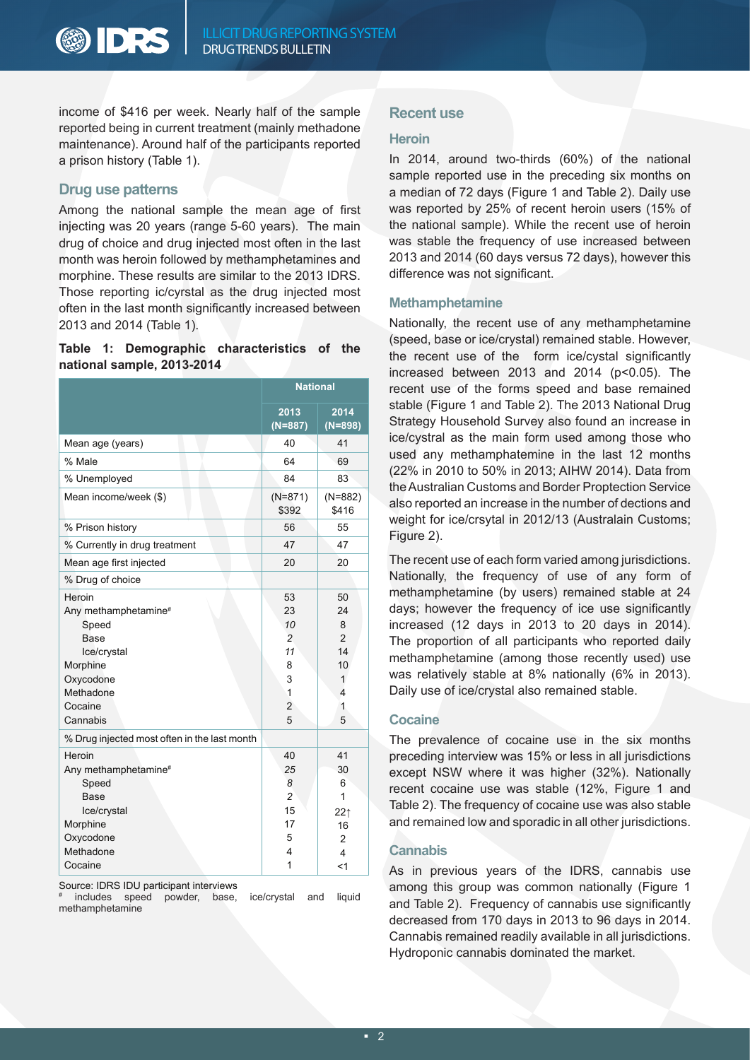**ODRS** 

income of \$416 per week. Nearly half of the sample reported being in current treatment (mainly methadone maintenance). Around half of the participants reported a prison history (Table 1).

## **Drug use patterns**

Among the national sample the mean age of first injecting was 20 years (range 5-60 years). The main drug of choice and drug injected most often in the last month was heroin followed by methamphetamines and morphine. These results are similar to the 2013 IDRS. Those reporting ic/cyrstal as the drug injected most often in the last month significantly increased between 2013 and 2014 (Table 1).

#### **Table 1: Demographic characteristics of the national sample, 2013-2014**

|                                                                                                                                                | <b>National</b>                                                              |                                                                 |
|------------------------------------------------------------------------------------------------------------------------------------------------|------------------------------------------------------------------------------|-----------------------------------------------------------------|
|                                                                                                                                                | 2013<br>$(N=887)$                                                            | 2014<br>$(N=898)$                                               |
| Mean age (years)                                                                                                                               | 40                                                                           | 41                                                              |
| % Male                                                                                                                                         | 64                                                                           | 69                                                              |
| % Unemployed                                                                                                                                   | 84                                                                           | 83                                                              |
| Mean income/week (\$)                                                                                                                          | $(N=871)$<br>\$392                                                           | $(N=882)$<br>\$416                                              |
| % Prison history                                                                                                                               | 56                                                                           | 55                                                              |
| % Currently in drug treatment                                                                                                                  | 47                                                                           | 47                                                              |
| Mean age first injected                                                                                                                        | 20                                                                           | 20                                                              |
| % Drug of choice                                                                                                                               |                                                                              |                                                                 |
| Heroin<br>Any methamphetamine <sup>#</sup><br>Speed<br><b>Base</b><br>Ice/crystal<br>Morphine<br>Oxycodone<br>Methadone<br>Cocaine<br>Cannabis | 53<br>23<br>10<br>$\overline{c}$<br>11<br>8<br>3<br>1<br>$\overline{2}$<br>5 | 50<br>24<br>8<br>$\overline{2}$<br>14<br>10<br>1<br>4<br>1<br>5 |
| % Drug injected most often in the last month                                                                                                   |                                                                              |                                                                 |
| Heroin<br>Any methamphetamine <sup>#</sup><br>Speed<br>Base                                                                                    | 40<br>25<br>8<br>$\overline{c}$                                              | 41<br>30<br>6<br>1                                              |
| Ice/crystal<br>Morphine<br>Oxycodone                                                                                                           | 15<br>17<br>5                                                                | 22 <sub>1</sub><br>16<br>2                                      |
| Methadone<br>Cocaine                                                                                                                           | 4<br>1                                                                       | 4<br><1                                                         |

Source: IDRS IDU participant interviews

# includes speed powder, base, ice/crystal and liquid methamphetamine

#### **Recent use**

#### **Heroin**

In 2014, around two-thirds (60%) of the national sample reported use in the preceding six months on a median of 72 days (Figure 1 and Table 2). Daily use was reported by 25% of recent heroin users (15% of the national sample). While the recent use of heroin was stable the frequency of use increased between 2013 and 2014 (60 days versus 72 days), however this difference was not significant.

#### **Methamphetamine**

Nationally, the recent use of any methamphetamine (speed, base or ice/crystal) remained stable. However, the recent use of the form ice/cystal significantly increased between 2013 and 2014 (p<0.05). The recent use of the forms speed and base remained stable (Figure 1 and Table 2). The 2013 National Drug Strategy Household Survey also found an increase in ice/cystral as the main form used among those who used any methamphatemine in the last 12 months (22% in 2010 to 50% in 2013; AIHW 2014). Data from the Australian Customs and Border Proptection Service also reported an increase in the number of dections and weight for ice/crsytal in 2012/13 (Australain Customs; Figure 2).

The recent use of each form varied among jurisdictions. Nationally, the frequency of use of any form of methamphetamine (by users) remained stable at 24 days; however the frequency of ice use significantly increased (12 days in 2013 to 20 days in 2014). The proportion of all participants who reported daily methamphetamine (among those recently used) use was relatively stable at 8% nationally (6% in 2013). Daily use of ice/crystal also remained stable.

#### **Cocaine**

The prevalence of cocaine use in the six months preceding interview was 15% or less in all jurisdictions except NSW where it was higher (32%). Nationally recent cocaine use was stable (12%, Figure 1 and Table 2). The frequency of cocaine use was also stable and remained low and sporadic in all other jurisdictions.

#### **Cannabis**

As in previous years of the IDRS, cannabis use among this group was common nationally (Figure 1 and Table 2). Frequency of cannabis use significantly decreased from 170 days in 2013 to 96 days in 2014. Cannabis remained readily available in all jurisdictions. Hydroponic cannabis dominated the market.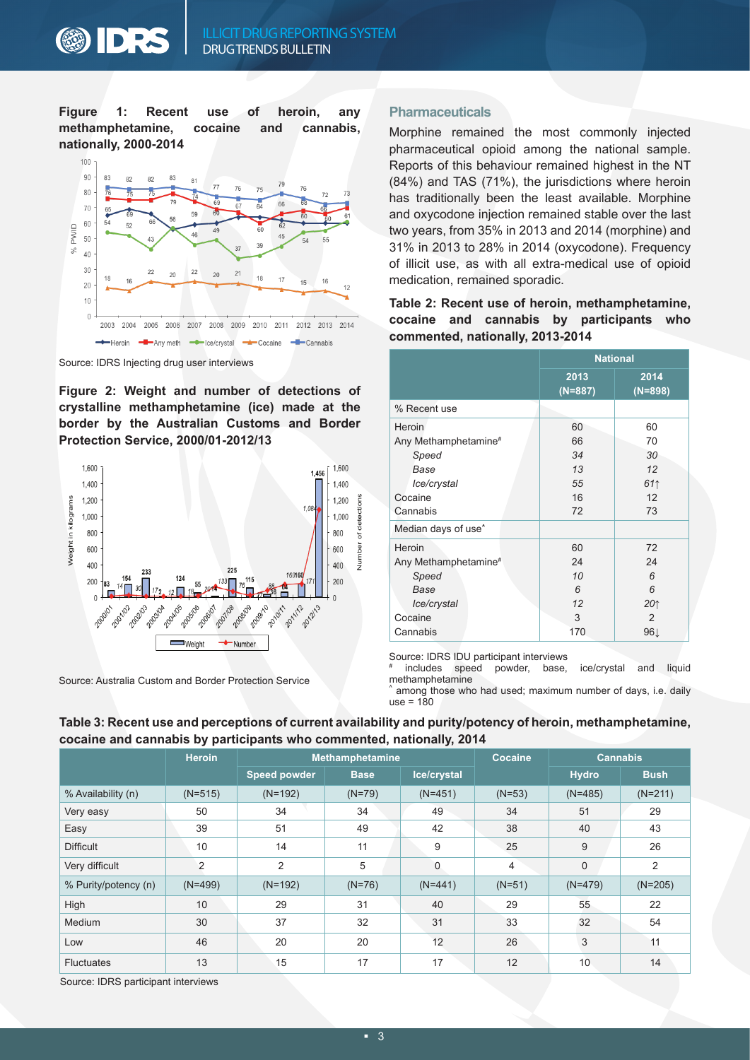**Figure 1: Recent use of heroin, any methamphetamine, cocaine and cannabis, nationally, 2000-2014**



Source: IDRS Injecting drug user interviews

**Figure 2: Weight and number of detections of crystalline methamphetamine (ice) made at the border by the Australian Customs and Border Protection Service, 2000/01-2012/13**



Source: Australia Custom and Border Protection Service

#### **Pharmaceuticals**

Morphine remained the most commonly injected pharmaceutical opioid among the national sample. Reports of this behaviour remained highest in the NT (84%) and TAS (71%), the jurisdictions where heroin has traditionally been the least available. Morphine and oxycodone injection remained stable over the last two years, from 35% in 2013 and 2014 (morphine) and 31% in 2013 to 28% in 2014 (oxycodone). Frequency of illicit use, as with all extra-medical use of opioid medication, remained sporadic.

**Table 2: Recent use of heroin, methamphetamine, cocaine and cannabis by participants who commented, nationally, 2013-2014**

|                                 | <b>National</b>   |                   |  |
|---------------------------------|-------------------|-------------------|--|
|                                 | 2013<br>$(N=887)$ | 2014<br>$(N=898)$ |  |
| % Recent use                    |                   |                   |  |
| Heroin                          | 60                | 60                |  |
| Any Methamphetamine#            | 66                | 70                |  |
| Speed                           | 34                | 30                |  |
| Base                            | 13                | 12                |  |
| Ice/crystal                     | 55                | 611               |  |
| Cocaine                         | 16                | 12                |  |
| Cannabis                        | 72                | 73                |  |
| Median days of use <sup>^</sup> |                   |                   |  |
| Heroin                          | 60                | 72                |  |
| Any Methamphetamine#            | 24                | 24                |  |
| Speed                           | 10                | 6                 |  |
| Base                            | 6                 | $\epsilon$        |  |
| Ice/crystal                     | 12                | 20 <sub>1</sub>   |  |
| Cocaine                         | 3                 | $\mathcal{P}$     |  |
| Cannabis                        | 170               | 96↓               |  |

Source: IDRS IDU participant interviews

# includes speed powder, base, ice/crystal and liquid methamphetamine

among those who had used; maximum number of days, i.e. daily  $use = 180$ 

|                      | . .           |                     |             | . .            |                 |                |             |
|----------------------|---------------|---------------------|-------------|----------------|-----------------|----------------|-------------|
|                      | <b>Heroin</b> | Methamphetamine     |             | <b>Cocaine</b> | <b>Cannabis</b> |                |             |
|                      |               | <b>Speed powder</b> | <b>Base</b> | Ice/crystal    |                 | <b>Hydro</b>   | <b>Bush</b> |
| % Availability (n)   | $(N=515)$     | $(N=192)$           | $(N=79)$    | $(N=451)$      | $(N=53)$        | $(N=485)$      | $(N=211)$   |
| Very easy            | 50            | 34                  | 34          | 49             | 34              | 51             | 29          |
| Easy                 | 39            | 51                  | 49          | 42             | 38              | 40             | 43          |
| <b>Difficult</b>     | 10            | 14                  | 11          | 9              | 25              | 9              | 26          |
| Very difficult       | 2             | 2                   | 5           | $\mathbf{0}$   | $\overline{4}$  | 0              | 2           |
| % Purity/potency (n) | $(N=499)$     | $(N=192)$           | $(N=76)$    | $(N=441)$      | $(N=51)$        | $(N=479)$      | $(N=205)$   |
| High                 | 10            | 29                  | 31          | 40             | 29              | 55             | 22          |
| Medium               | 30            | 37                  | 32          | 31             | 33              | 32             | 54          |
| Low                  | 46            | 20                  | 20          | 12             | 26              | $\mathfrak{B}$ | 11          |
| <b>Fluctuates</b>    | 13            | 15                  | 17          | 17             | 12              | 10             | 14          |
|                      |               |                     |             |                |                 |                |             |

#### **Table 3: Recent use and perceptions of current availability and purity/potency of heroin, methamphetamine, cocaine and cannabis by participants who commented, nationally, 2014**

Source: IDRS participant interviews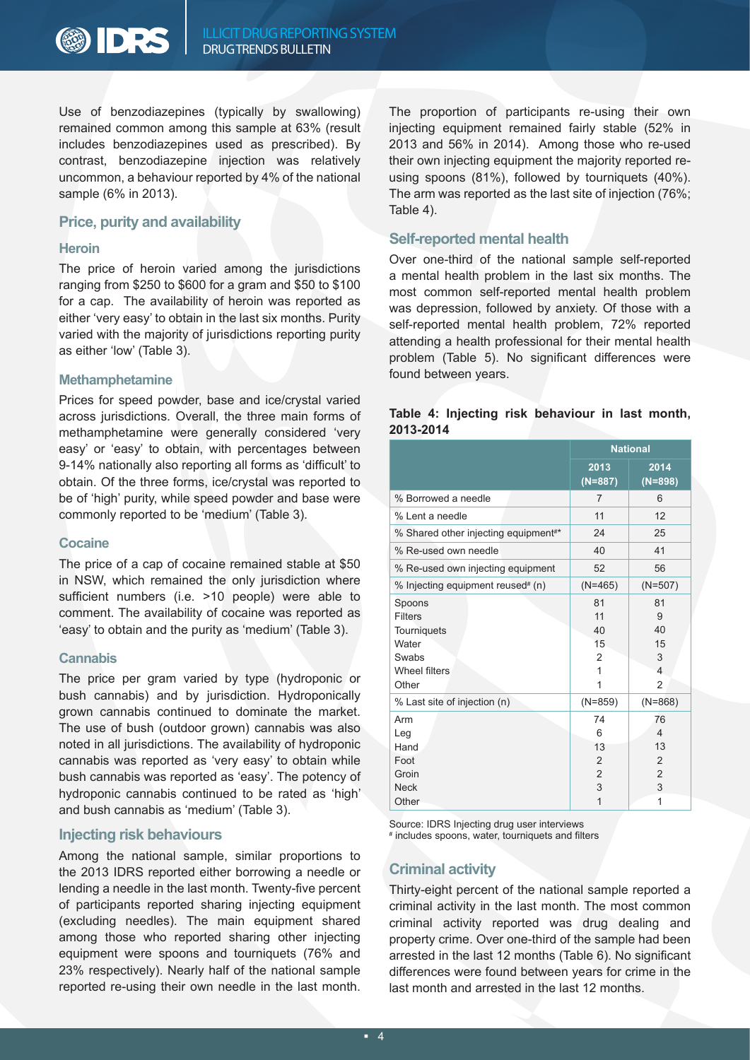

Use of benzodiazepines (typically by swallowing) remained common among this sample at 63% (result includes benzodiazepines used as prescribed). By contrast, benzodiazepine injection was relatively uncommon, a behaviour reported by 4% of the national sample (6% in 2013).

#### **Price, purity and availability**

#### **Heroin**

The price of heroin varied among the jurisdictions ranging from \$250 to \$600 for a gram and \$50 to \$100 for a cap. The availability of heroin was reported as either 'very easy' to obtain in the last six months. Purity varied with the majority of jurisdictions reporting purity as either 'low' (Table 3).

#### **Methamphetamine**

Prices for speed powder, base and ice/crystal varied across jurisdictions. Overall, the three main forms of methamphetamine were generally considered 'very easy' or 'easy' to obtain, with percentages between 9-14% nationally also reporting all forms as 'difficult' to obtain. Of the three forms, ice/crystal was reported to be of 'high' purity, while speed powder and base were commonly reported to be 'medium' (Table 3).

#### **Cocaine**

The price of a cap of cocaine remained stable at \$50 in NSW, which remained the only jurisdiction where sufficient numbers (i.e. >10 people) were able to comment. The availability of cocaine was reported as 'easy' to obtain and the purity as 'medium' (Table 3).

#### **Cannabis**

The price per gram varied by type (hydroponic or bush cannabis) and by jurisdiction. Hydroponically grown cannabis continued to dominate the market. The use of bush (outdoor grown) cannabis was also noted in all jurisdictions. The availability of hydroponic cannabis was reported as 'very easy' to obtain while bush cannabis was reported as 'easy'. The potency of hydroponic cannabis continued to be rated as 'high' and bush cannabis as 'medium' (Table 3).

#### **Injecting risk behaviours**

Among the national sample, similar proportions to the 2013 IDRS reported either borrowing a needle or lending a needle in the last month. Twenty-five percent of participants reported sharing injecting equipment (excluding needles). The main equipment shared among those who reported sharing other injecting equipment were spoons and tourniquets (76% and 23% respectively). Nearly half of the national sample reported re-using their own needle in the last month. The proportion of participants re-using their own injecting equipment remained fairly stable (52% in 2013 and 56% in 2014). Among those who re-used their own injecting equipment the majority reported reusing spoons (81%), followed by tourniquets (40%). The arm was reported as the last site of injection (76%; Table 4).

#### **Self-reported mental health**

Over one-third of the national sample self-reported a mental health problem in the last six months. The most common self-reported mental health problem was depression, followed by anxiety. Of those with a self-reported mental health problem, 72% reported attending a health professional for their mental health problem (Table 5). No significant differences were found between years.

#### **Table 4: Injecting risk behaviour in last month, 2013-2014**

|                                                                                            | <b>National</b>                                        |                                                                  |
|--------------------------------------------------------------------------------------------|--------------------------------------------------------|------------------------------------------------------------------|
|                                                                                            | 2013<br>$(N=887)$                                      | 2014<br>$(N=898)$                                                |
| % Borrowed a needle                                                                        | 7                                                      | 6                                                                |
| % Lent a needle                                                                            | 11                                                     | 12                                                               |
| % Shared other injecting equipment <sup>#*</sup>                                           | 24                                                     | 25                                                               |
| % Re-used own needle                                                                       | 40                                                     | 41                                                               |
| % Re-used own injecting equipment                                                          | 52                                                     | 56                                                               |
| % Injecting equipment reused <sup>#</sup> (n)                                              | $(N=465)$                                              | $(N=507)$                                                        |
| Spoons<br><b>Filters</b><br>Tourniquets<br>Water<br>Swabs<br><b>Wheel filters</b><br>Other | 81<br>11<br>40<br>15<br>$\overline{2}$<br>1<br>1       | 81<br>9<br>40<br>15<br>3<br>4<br>$\overline{2}$                  |
| % Last site of injection (n)                                                               | $(N=859)$                                              | $(N=868)$                                                        |
| Arm<br>Leg<br>Hand<br>Foot<br>Groin<br><b>Neck</b>                                         | 74<br>6<br>13<br>$\overline{2}$<br>$\overline{2}$<br>3 | 76<br>$\overline{\mathcal{L}}$<br>13<br>2<br>$\overline{2}$<br>3 |
| Other                                                                                      | $\overline{1}$                                         | 1                                                                |

Source: IDRS Injecting drug user interviews # includes spoons, water, tourniquets and filters

## **Criminal activity**

Thirty-eight percent of the national sample reported a criminal activity in the last month. The most common criminal activity reported was drug dealing and property crime. Over one-third of the sample had been arrested in the last 12 months (Table 6). No significant differences were found between years for crime in the last month and arrested in the last 12 months.